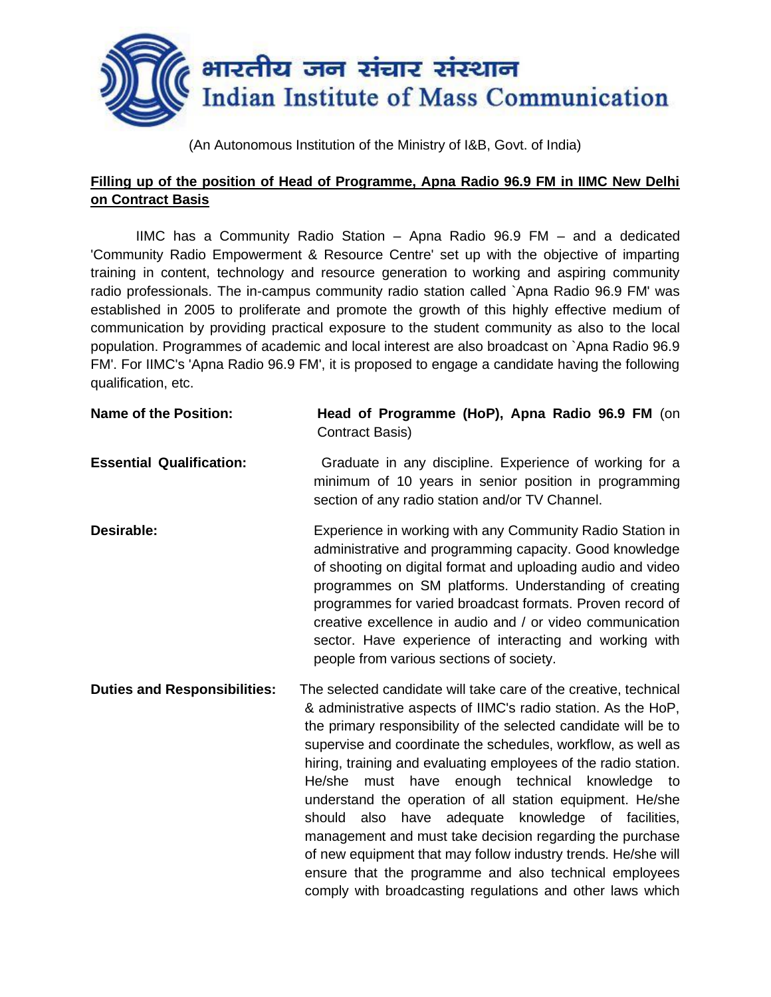

(An Autonomous Institution of the Ministry of I&B, Govt. of India)

## **Filling up of the position of Head of Programme, Apna Radio 96.9 FM in IIMC New Delhi on Contract Basis**

IIMC has a Community Radio Station – Apna Radio 96.9 FM – and a dedicated 'Community Radio Empowerment & Resource Centre' set up with the objective of imparting training in content, technology and resource generation to working and aspiring community radio professionals. The in-campus community radio station called `Apna Radio 96.9 FM' was established in 2005 to proliferate and promote the growth of this highly effective medium of communication by providing practical exposure to the student community as also to the local population. Programmes of academic and local interest are also broadcast on `Apna Radio 96.9 FM'. For IIMC's 'Apna Radio 96.9 FM', it is proposed to engage a candidate having the following qualification, etc.

| <b>Name of the Position:</b>        | Head of Programme (HoP), Apna Radio 96.9 FM (on<br><b>Contract Basis)</b>                                                                                                                                                                                                                                                                                                                                                                                                                                                                                                                                                                                                                                                                                                 |
|-------------------------------------|---------------------------------------------------------------------------------------------------------------------------------------------------------------------------------------------------------------------------------------------------------------------------------------------------------------------------------------------------------------------------------------------------------------------------------------------------------------------------------------------------------------------------------------------------------------------------------------------------------------------------------------------------------------------------------------------------------------------------------------------------------------------------|
| <b>Essential Qualification:</b>     | Graduate in any discipline. Experience of working for a<br>minimum of 10 years in senior position in programming<br>section of any radio station and/or TV Channel.                                                                                                                                                                                                                                                                                                                                                                                                                                                                                                                                                                                                       |
| Desirable:                          | Experience in working with any Community Radio Station in<br>administrative and programming capacity. Good knowledge<br>of shooting on digital format and uploading audio and video<br>programmes on SM platforms. Understanding of creating<br>programmes for varied broadcast formats. Proven record of<br>creative excellence in audio and / or video communication<br>sector. Have experience of interacting and working with<br>people from various sections of society.                                                                                                                                                                                                                                                                                             |
| <b>Duties and Responsibilities:</b> | The selected candidate will take care of the creative, technical<br>& administrative aspects of IIMC's radio station. As the HoP,<br>the primary responsibility of the selected candidate will be to<br>supervise and coordinate the schedules, workflow, as well as<br>hiring, training and evaluating employees of the radio station.<br>must have enough technical knowledge to<br>He/she<br>understand the operation of all station equipment. He/she<br>have adequate knowledge of facilities,<br>should<br>also<br>management and must take decision regarding the purchase<br>of new equipment that may follow industry trends. He/she will<br>ensure that the programme and also technical employees<br>comply with broadcasting regulations and other laws which |